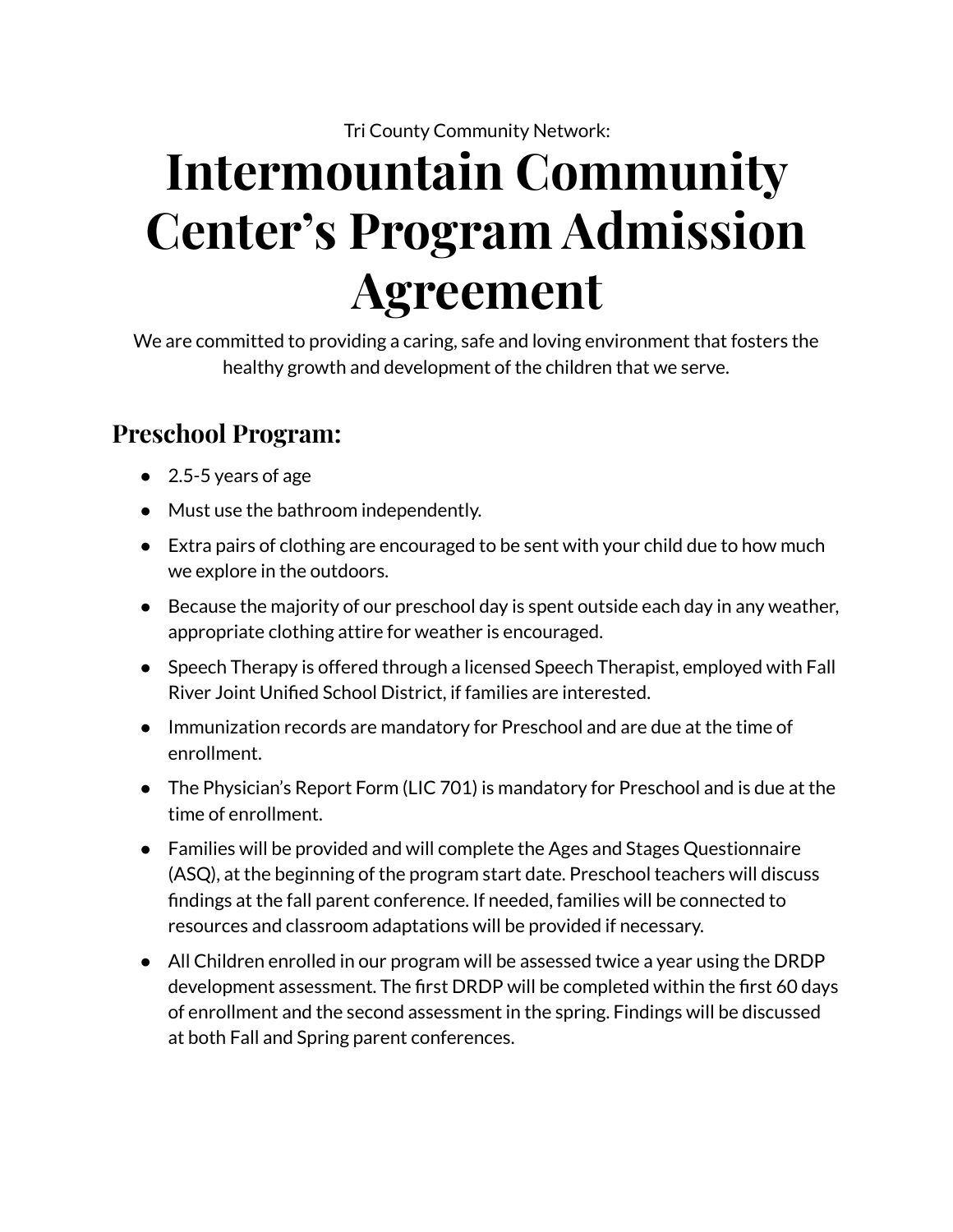Tri County Community Network:

# **Intermountain Community Center's Program Admission Agreement**

We are committed to providing a caring, safe and loving environment that fosters the healthy growth and development of the children that we serve.

## **Preschool Program:**

- 2.5-5 years of age
- Must use the bathroom independently.
- Extra pairs of clothing are encouraged to be sent with your child due to how much we explore in the outdoors.
- Because the majority of our preschool day is spent outside each day in any weather, appropriate clothing attire for weather is encouraged.
- Speech Therapy is offered through a licensed Speech Therapist, employed with Fall River Joint Unified School District, if families are interested.
- Immunization records are mandatory for Preschool and are due at the time of enrollment.
- The Physician's Report Form (LIC 701) is mandatory for Preschool and is due at the time of enrollment.
- Families will be provided and will complete the Ages and Stages Questionnaire (ASQ), at the beginning of the program start date. Preschool teachers will discuss findings at the fall parent conference. If needed, families will be connected to resources and classroom adaptations will be provided if necessary.
- All Children enrolled in our program will be assessed twice a year using the DRDP development assessment. The first DRDP will be completed within the first 60 days of enrollment and the second assessment in the spring. Findings will be discussed at both Fall and Spring parent conferences.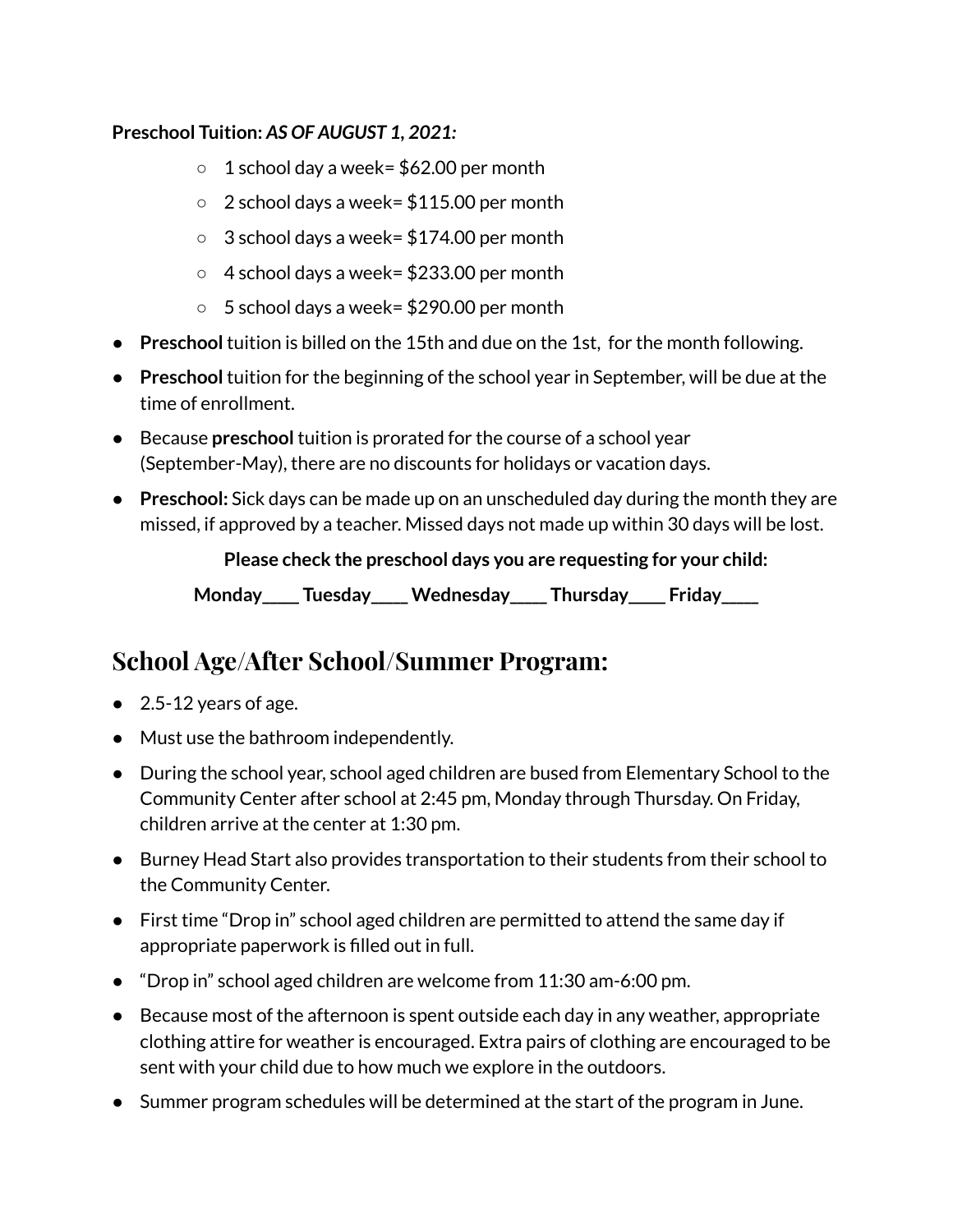#### **Preschool Tuition:** *AS OF AUGUST 1, 2021:*

- $\circ$  1 school day a week= \$62.00 per month
- $\circ$  2 school days a week= \$115.00 per month
- 3 school days a week= \$174.00 per month
- $\circ$  4 school days a week= \$233.00 per month
- 5 school days a week= \$290.00 per month
- **Preschool** tuition is billed on the 15th and due on the 1st, for the month following.
- **Preschool** tuition for the beginning of the school year in September, will be due at the time of enrollment.
- Because **preschool** tuition is prorated for the course of a school year (September-May), there are no discounts for holidays or vacation days.
- **Preschool:** Sick days can be made up on an unscheduled day during the month they are missed, if approved by a teacher. Missed days not made up within 30 days will be lost.

**Please check the preschool days you are requesting for your child:**

**Monday\_\_\_\_\_ Tuesday\_\_\_\_\_ Wednesday\_\_\_\_\_ Thursday\_\_\_\_\_ Friday\_\_\_\_\_**

## **School Age/After School/Summer Program:**

- $\bullet$  2.5-12 years of age.
- Must use the bathroom independently.
- During the school year, school aged children are bused from Elementary School to the Community Center after school at 2:45 pm, Monday through Thursday. On Friday, children arrive at the center at 1:30 pm.
- Burney Head Start also provides transportation to their students from their school to the Community Center.
- First time "Drop in" school aged children are permitted to attend the same day if appropriate paperwork is filled out in full.
- "Drop in" school aged children are welcome from 11:30 am-6:00 pm.
- Because most of the afternoon is spent outside each day in any weather, appropriate clothing attire for weather is encouraged. Extra pairs of clothing are encouraged to be sent with your child due to how much we explore in the outdoors.
- Summer program schedules will be determined at the start of the program in June.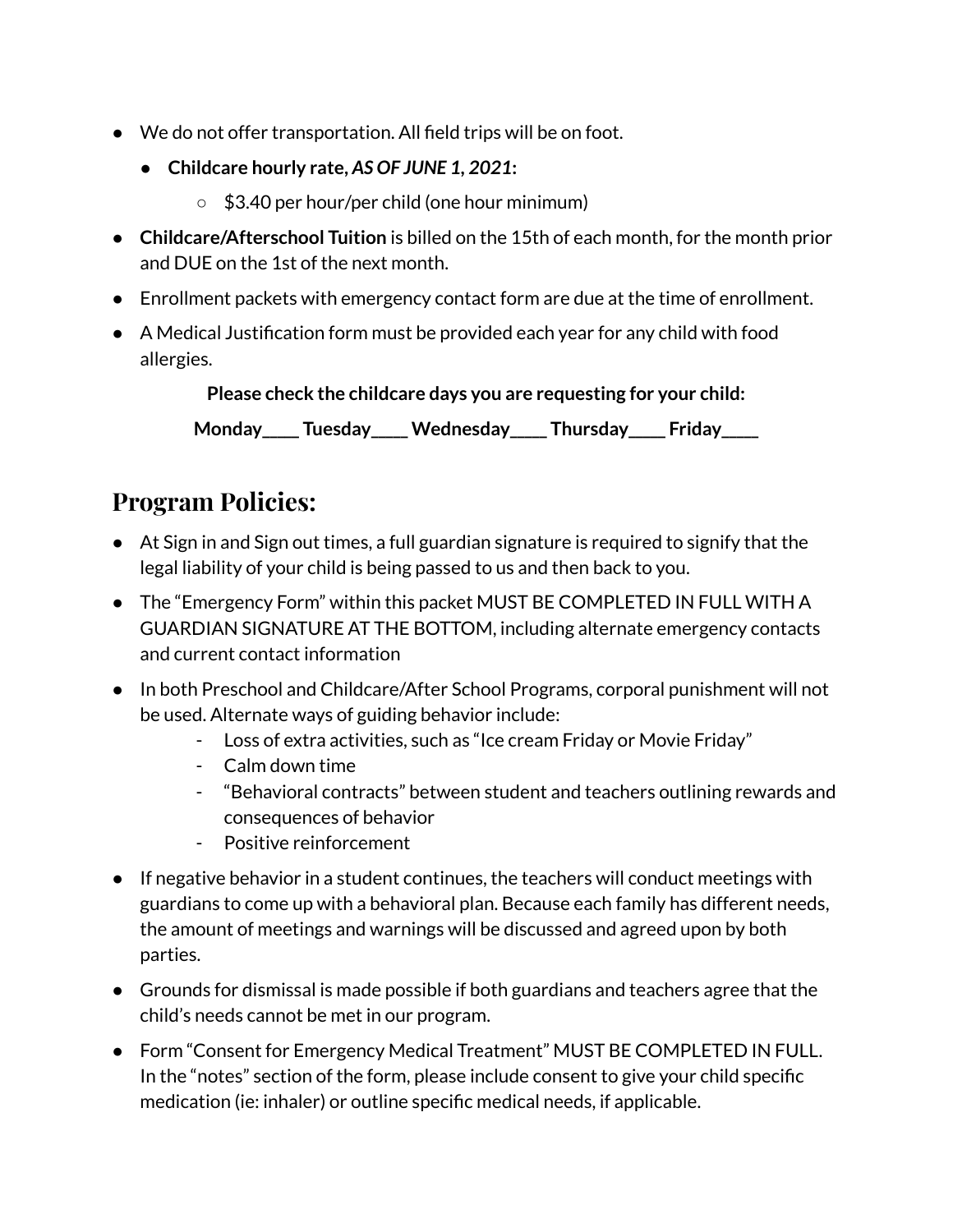- We do not offer transportation. All field trips will be on foot.
	- **Childcare hourly rate,** *AS OF JUNE 1, 2021***:**
		- \$3.40 per hour/per child (one hour minimum)
- **● Childcare/Afterschool Tuition** is billed on the 15th of each month, for the month prior and DUE on the 1st of the next month.
- Enrollment packets with emergency contact form are due at the time of enrollment.
- A Medical Justification form must be provided each year for any child with food allergies.

#### **Please check the childcare days you are requesting for your child:**

**Monday\_\_\_\_\_ Tuesday\_\_\_\_\_ Wednesday\_\_\_\_\_ Thursday\_\_\_\_\_ Friday\_\_\_\_\_**

## **Program Policies:**

- At Sign in and Sign out times, a full guardian signature is required to signify that the legal liability of your child is being passed to us and then back to you.
- The "Emergency Form" within this packet MUST BE COMPLETED IN FULL WITH A GUARDIAN SIGNATURE AT THE BOTTOM, including alternate emergency contacts and current contact information
- In both Preschool and Childcare/After School Programs, corporal punishment will not be used. Alternate ways of guiding behavior include:
	- Loss of extra activities, such as "Ice cream Friday or Movie Friday"
	- Calm down time
	- "Behavioral contracts" between student and teachers outlining rewards and consequences of behavior
	- Positive reinforcement
- If negative behavior in a student continues, the teachers will conduct meetings with guardians to come up with a behavioral plan. Because each family has different needs, the amount of meetings and warnings will be discussed and agreed upon by both parties.
- Grounds for dismissal is made possible if both guardians and teachers agree that the child's needs cannot be met in our program.
- Form "Consent for Emergency Medical Treatment" MUST BE COMPLETED IN FULL. In the "notes" section of the form, please include consent to give your child specific medication (ie: inhaler) or outline specific medical needs, if applicable.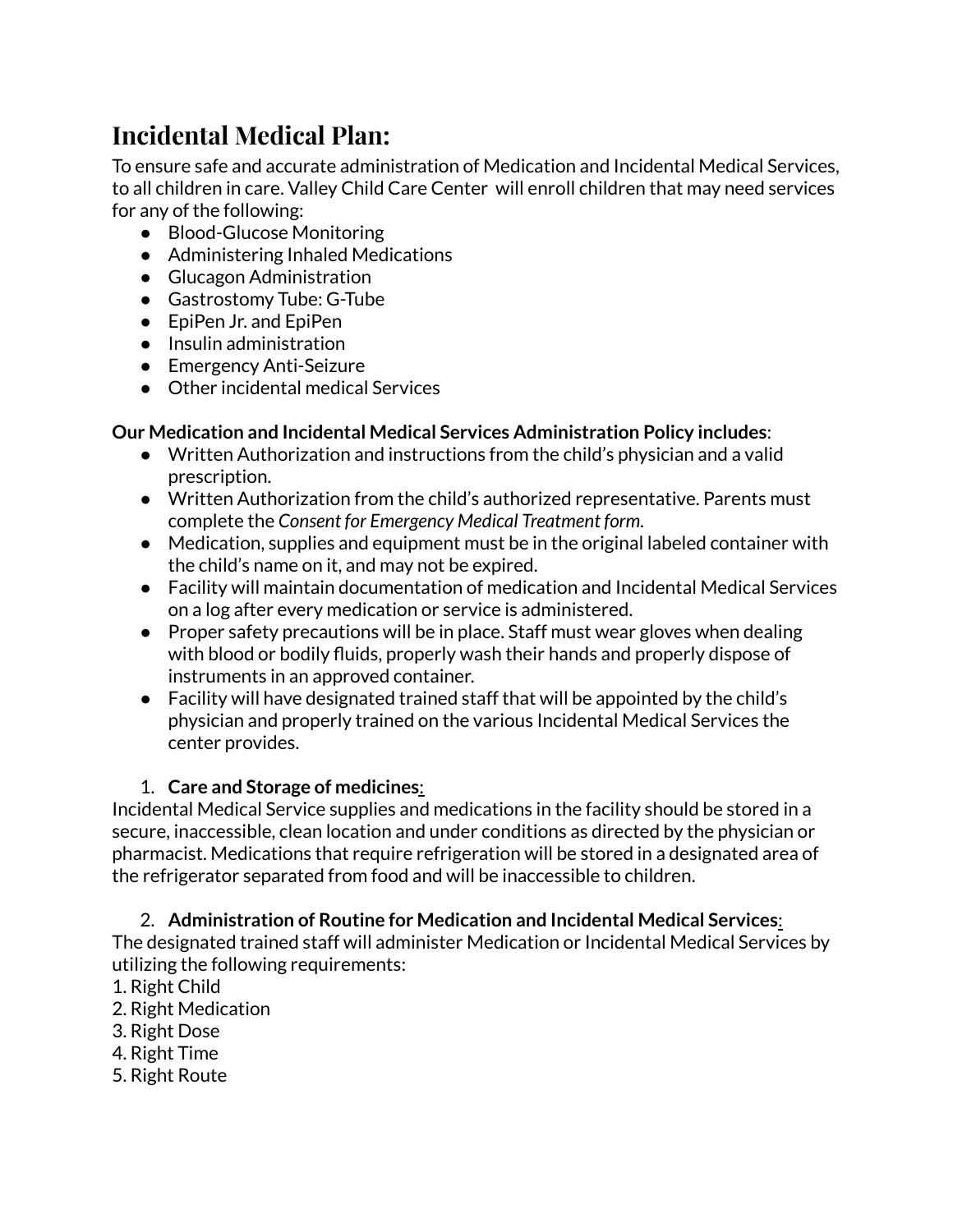## **Incidental Medical Plan:**

To ensure safe and accurate administration of Medication and Incidental Medical Services, to all children in care. Valley Child Care Center will enroll children that may need services for any of the following:

- Blood-Glucose Monitoring
- Administering Inhaled Medications
- Glucagon Administration
- Gastrostomy Tube: G-Tube
- EpiPen Jr. and EpiPen
- Insulin administration
- Emergency Anti-Seizure
- Other incidental medical Services

#### **Our Medication and Incidental Medical Services Administration Policy includes**:

- Written Authorization and instructions from the child's physician and a valid prescription.
- Written Authorization from the child's authorized representative. Parents must complete the *Consent for Emergency Medical Treatment form.*
- Medication, supplies and equipment must be in the original labeled container with the child's name on it, and may not be expired.
- Facility will maintain documentation of medication and Incidental Medical Services on a log after every medication or service is administered.
- Proper safety precautions will be in place. Staff must wear gloves when dealing with blood or bodily fluids, properly wash their hands and properly dispose of instruments in an approved container.
- $\bullet$  Facility will have designated trained staff that will be appointed by the child's physician and properly trained on the various Incidental Medical Services the center provides.

#### 1. **Care and Storage of medicines**:

Incidental Medical Service supplies and medications in the facility should be stored in a secure, inaccessible, clean location and under conditions as directed by the physician or pharmacist. Medications that require refrigeration will be stored in a designated area of the refrigerator separated from food and will be inaccessible to children.

#### 2. **Administration of Routine for Medication and Incidental Medical Services**:

The designated trained staff will administer Medication or Incidental Medical Services by utilizing the following requirements:

- 1. Right Child
- 2. Right Medication
- 3. Right Dose
- 4. Right Time
- 5. Right Route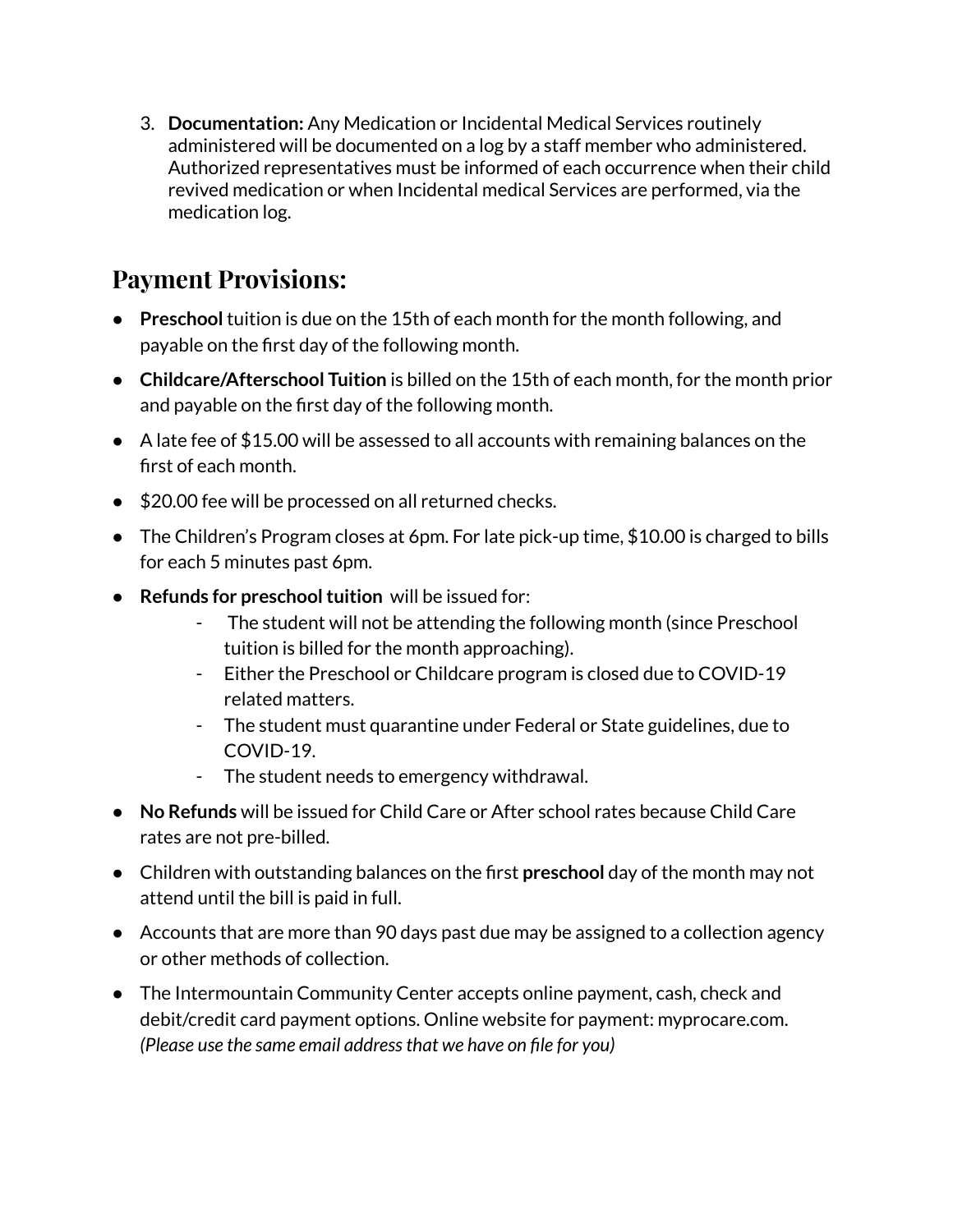3. **Documentation:** Any Medication or Incidental Medical Services routinely administered will be documented on a log by a staff member who administered. Authorized representatives must be informed of each occurrence when their child revived medication or when Incidental medical Services are performed, via the medication log.

#### **Payment Provisions:**

- **Preschool** tuition is due on the 15th of each month for the month following, and payable on the first day of the following month.
- **● Childcare/Afterschool Tuition** is billed on the 15th of each month, for the month prior and payable on the first day of the following month.
- A late fee of \$15.00 will be assessed to all accounts with remaining balances on the first of each month.
- \$20.00 fee will be processed on all returned checks.
- The Children's Program closes at 6pm. For late pick-up time, \$10.00 is charged to bills for each 5 minutes past 6pm.
- **Refunds for preschooltuition** will be issued for:
	- The student will not be attending the following month (since Preschool tuition is billed for the month approaching).
	- Either the Preschool or Childcare program is closed due to COVID-19 related matters.
	- The student must quarantine under Federal or State guidelines, due to COVID-19.
	- The student needs to emergency withdrawal.
- **No Refunds** will be issued for Child Care or After school rates because Child Care rates are not pre-billed.
- Children with outstanding balances on the first **preschool** day of the month may not attend until the bill is paid in full.
- Accounts that are more than 90 days past due may be assigned to a collection agency or other methods of collection.
- The Intermountain Community Center accepts online payment, cash, check and debit/credit card payment options. Online website for payment: myprocare.com. *(Please use the same email addressthat we have on file for you)*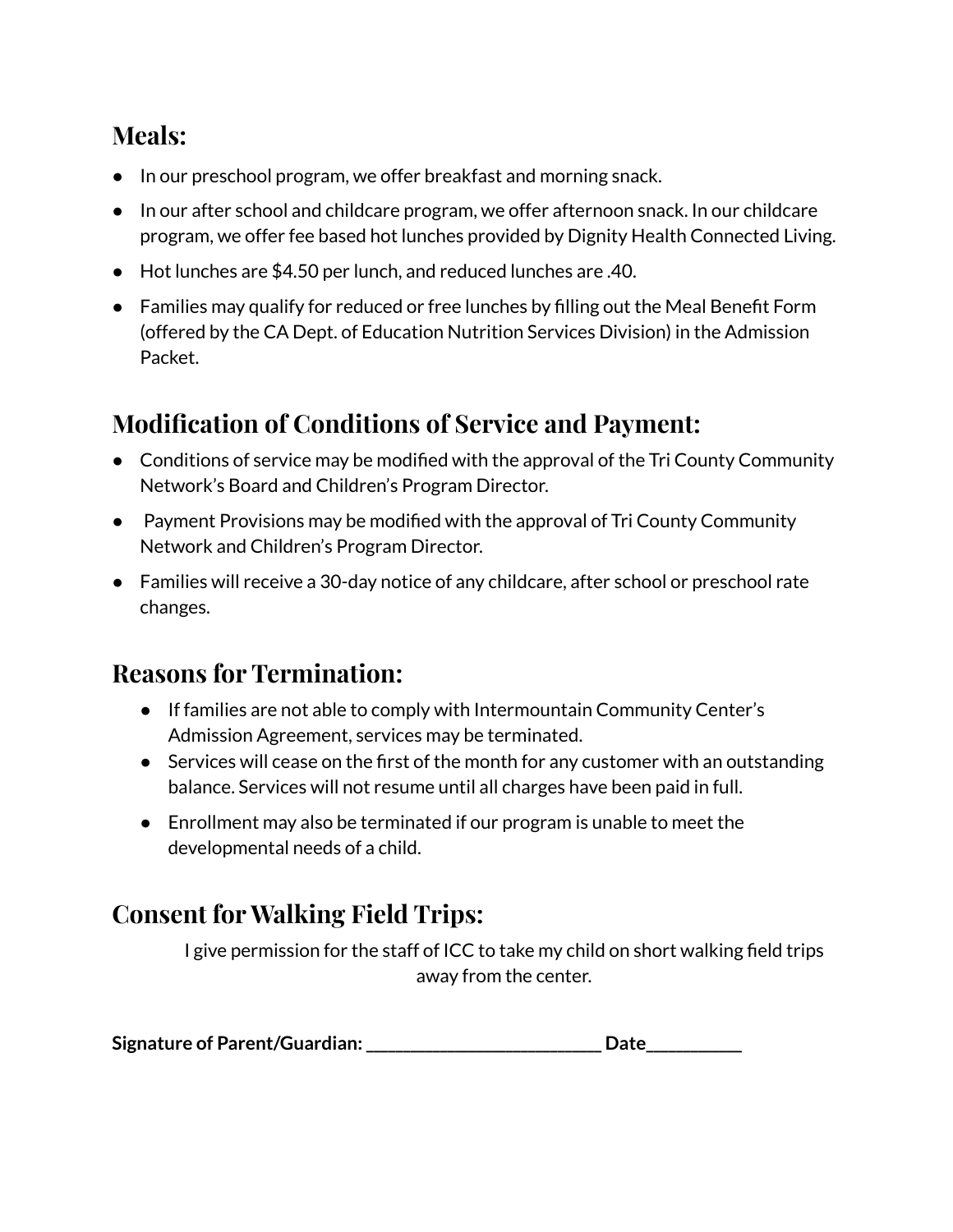# **Meals:**

- In our preschool program, we offer breakfast and morning snack.
- In our after school and childcare program, we offer afternoon snack. In our childcare program, we offer fee based hot lunches provided by Dignity Health Connected Living.
- Hot lunches are \$4.50 per lunch, and reduced lunches are .40.
- Families may qualify for reduced or free lunches by filling out the Meal Benefit Form (offered by the CA Dept. of Education Nutrition Services Division) in the Admission Packet.

## **Modification of Conditions of Service and Payment:**

- Conditions of service may be modified with the approval of the Tri County Community Network's Board and Children's Program Director.
- Payment Provisions may be modified with the approval of Tri County Community Network and Children's Program Director.
- Families will receive a 30-day notice of any childcare, after school or preschool rate changes.

## **Reasons for Termination:**

- If families are not able to comply with Intermountain Community Center's Admission Agreement, services may be terminated.
- Services will cease on the first of the month for any customer with an outstanding balance. Services will not resume until all charges have been paid in full.
- Enrollment may also be terminated if our program is unable to meet the developmental needs of a child.

## **Consent for Walking Field Trips:**

I give permission for the staff of ICC to take my child on short walking field trips away from the center.

| Signature of Parent/Guardian: | Date |  |
|-------------------------------|------|--|
|                               |      |  |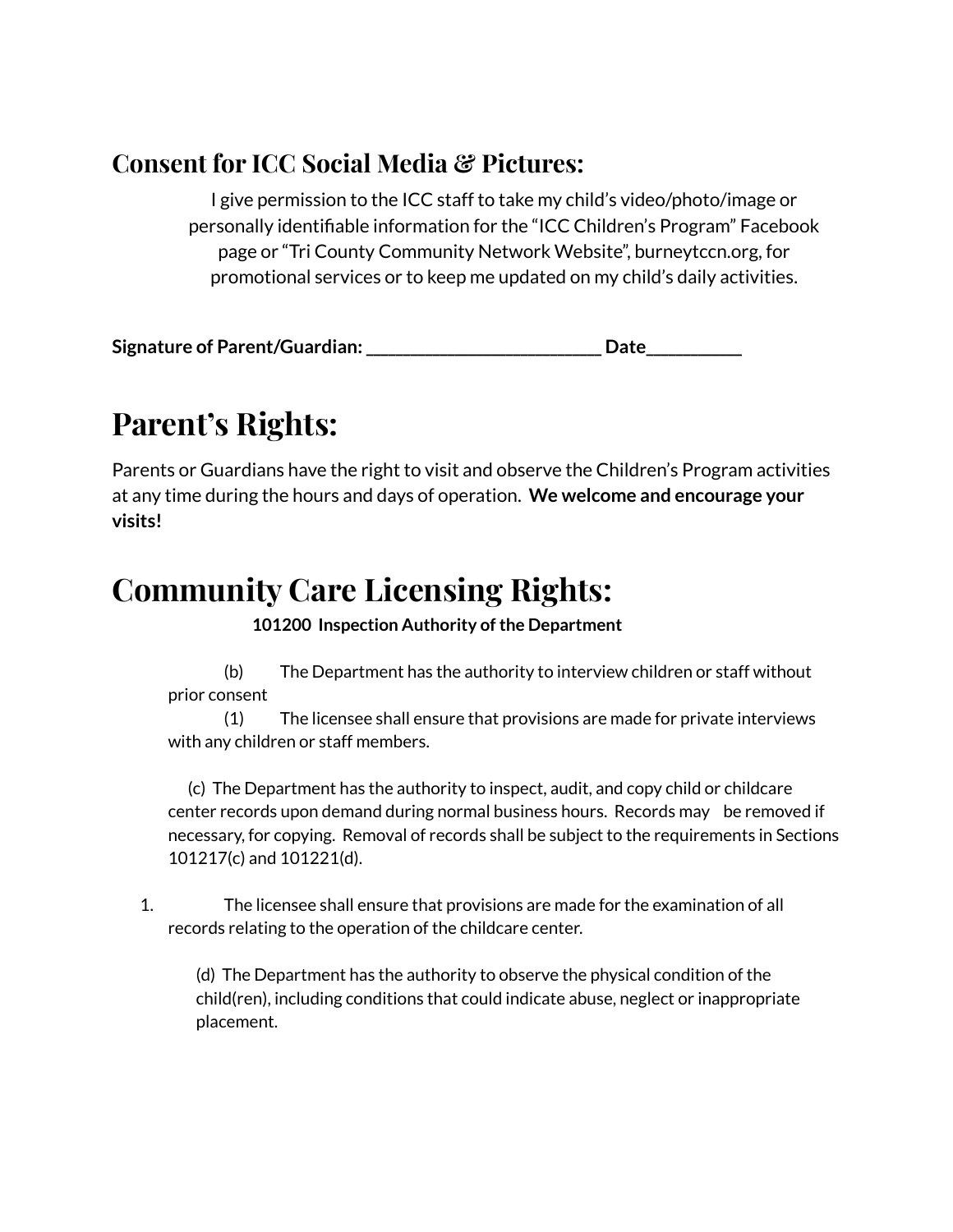## **Consent for ICC Social Media & Pictures:**

I give permission to the ICC staff to take my child's video/photo/image or personally identifiable information for the "ICC Children's Program" Facebook page or "Tri County Community Network Website", burneytccn.org, for promotional services or to keep me updated on my child's daily activities.

| Signature of Parent/Guardian: | Date |
|-------------------------------|------|
|-------------------------------|------|

# **Parent's Rights:**

Parents or Guardians have the right to visit and observe the Children's Program activities at any time during the hours and days of operation. **We welcome and encourage your visits!**

# **Community Care Licensing Rights:**

**101200 Inspection Authority ofthe Department**

(b) The Department has the authority to interview children or staff without prior consent

(1) The licensee shall ensure that provisions are made for private interviews with any children or staff members.

(c) The Department has the authority to inspect, audit, and copy child or childcare center records upon demand during normal business hours. Records may be removed if necessary, for copying. Removal of records shall be subject to the requirements in Sections 101217(c) and 101221(d).

1. The licensee shall ensure that provisions are made for the examination of all records relating to the operation of the childcare center.

(d) The Department has the authority to observe the physical condition of the child(ren), including conditions that could indicate abuse, neglect or inappropriate placement.